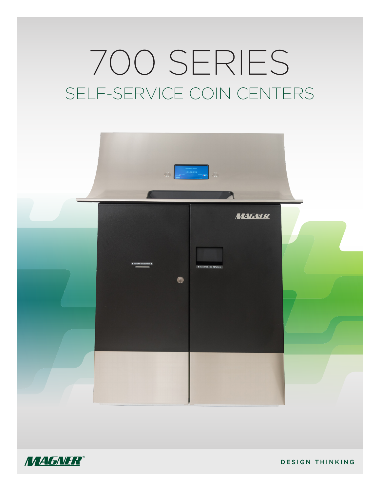# 700 SERIES SELF-SERVICE COIN CENTERS





DESIGN THINKING